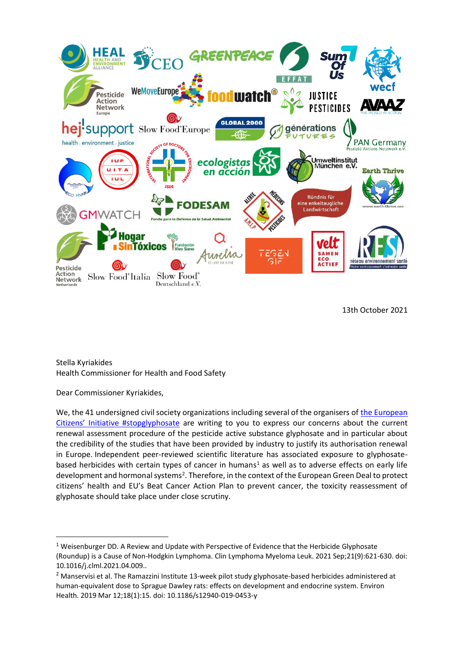

13th October 2021

Stella Kyriakides Health Commissioner for Health and Food Safety

Dear Commissioner Kyriakides,

We, the 41 undersigned civil society organizations including several of the organisers of the European [Citizens' Initiative #stopglyphosate](https://europa.eu/citizens-initiative/initiatives/details/2017/000002_en) are writing to you to express our concerns about the current renewal assessment procedure of the pesticide active substance glyphosate and in particular about the credibility of the studies that have been provided by industry to justify its authorisation renewal in Europe. Independent peer-reviewed scientific literature has associated exposure to glyphosatebased herbicides with certain types of cancer in humans<sup>1</sup> as well as to adverse effects on early life development and hormonal systems<sup>2</sup>. Therefore, in the context of the European Green Deal to protect citizens' health and EU's Beat Cancer Action Plan to prevent cancer, the toxicity reassessment of glyphosate should take place under close scrutiny.

 $1$  Weisenburger DD. A Review and Update with Perspective of Evidence that the Herbicide Glyphosate (Roundup) is a Cause of Non-Hodgkin Lymphoma. Clin Lymphoma Myeloma Leuk. 2021 Sep;21(9):621-630. doi: 10.1016/j.clml.2021.04.009..

<sup>2</sup> Manservisi et al. The Ramazzini Institute 13-week pilot study glyphosate-based herbicides administered at human-equivalent dose to Sprague Dawley rats: effects on development and endocrine system. Environ Health. 2019 Mar 12;18(1):15. doi: 10.1186/s12940-019-0453-y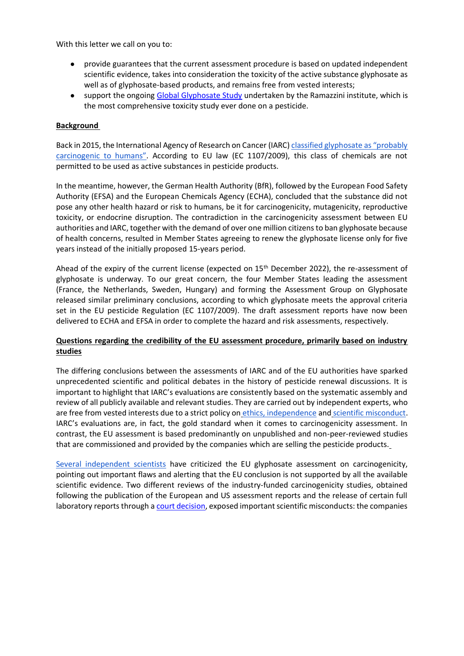With this letter we call on you to:

- provide guarantees that the current assessment procedure is based on updated independent scientific evidence, takes into consideration the toxicity of the active substance glyphosate as well as of glyphosate-based products, and remains free from vested interests;
- support the ongoing [Global Glyphosate Study](https://glyphosatestudy.org/) undertaken by the Ramazzini institute, which is the most comprehensive toxicity study ever done on a pesticide.

## **Background**

Back in 2015, the International Agency of Research on Cancer (IARC) [classified glyphosate as "probably](https://www.iarc.who.int/featured-news/media-centre-iarc-news-glyphosate/)  [carcinogenic to humans"](https://www.iarc.who.int/featured-news/media-centre-iarc-news-glyphosate/). According to EU law (EC 1107/2009), this class of chemicals are not permitted to be used as active substances in pesticide products.

In the meantime, however, the German Health Authority (BfR), followed by the European Food Safety Authority (EFSA) and the European Chemicals Agency (ECHA), concluded that the substance did not pose any other health hazard or risk to humans, be it for carcinogenicity, mutagenicity, reproductive toxicity, or endocrine disruption. The contradiction in the carcinogenicity assessment between EU authorities and IARC, together with the demand of over one million citizens to ban glyphosate because of health concerns, resulted in Member States agreeing to renew the glyphosate license only for five years instead of the initially proposed 15-years period.

Ahead of the expiry of the current license (expected on 15th December 2022), the re-assessment of glyphosate is underway. To our great concern, the four Member States leading the assessment (France, the Netherlands, Sweden, Hungary) and forming the Assessment Group on Glyphosate released similar preliminary conclusions, according to which glyphosate meets the approval criteria set in the EU pesticide Regulation (EC 1107/2009). The draft assessment reports have now been delivered to ECHA and EFSA in order to complete the hazard and risk assessments, respectively.

# **Questions regarding the credibility of the EU assessment procedure, primarily based on industry studies**

The differing conclusions between the assessments of IARC and of the EU authorities have sparked unprecedented scientific and political debates in the history of pesticide renewal discussions. It is important to highlight that IARC's evaluations are consistently based on the systematic assembly and review of all publicly available and relevant studies. They are carried out by independent experts, who are free from vested i[n](https://www.iarc.who.int/about-iarc-iarc-professional-standards/)terests due to a strict policy on [ethics, independence](https://www.iarc.who.int/about-iarc-iarc-professional-standards/) an[d](https://www.iarc.who.int/wp-content/uploads/2018/11/IARC_Policy_ScientificMisconduct.pdf) [scientific misconduct.](https://www.iarc.who.int/wp-content/uploads/2018/11/IARC_Policy_ScientificMisconduct.pdf) IARC's evaluations are, in fact, the gold standard when it comes to carcinogenicity assessment. In contrast, the EU assessment is based predominantly on unpublished and non-peer-reviewed studies that are commissioned and provided by the companies which are selling the pesticide products[.](https://www.efsa.europa.eu/sites/default/files/Prof_Portier_letter.pdf)

[Several independent scientists](https://www.efsa.europa.eu/sites/default/files/Prof_Portier_letter.pdf) have criticized the EU glyphosate assessment on carcinogenicity, pointing out important flaws and alerting that the EU conclusion is not supported by all the available scientific evidence. Two different reviews of the industry-funded carcinogenicity studies, obtained following the publication of the European and US assessment reports and the release of certain full laboratory reports through a [court decision,](https://curia.europa.eu/jcms/upload/docs/application/pdf/2019-03/cp190025en.pdf) exposed important scientific misconducts: the companies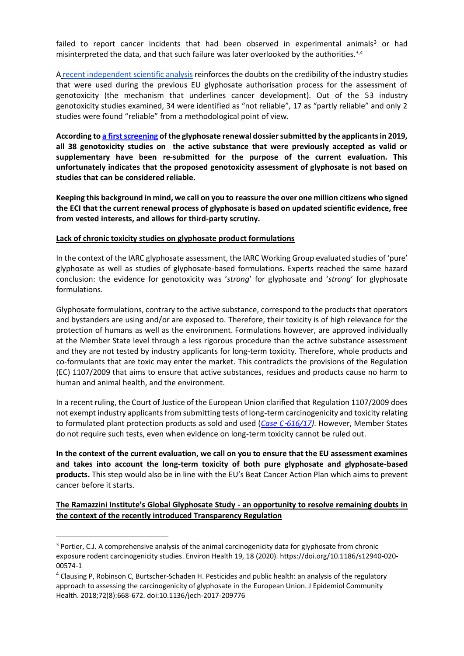failed to report cancer incidents that had been observed in experimental animals<sup>3</sup> or had misinterpreted the data, and that such failure was later overlooked by the authorities.<sup>3,4</sup>

A [recent independent](https://actions.sumofus.org/a/glyphosate-genotox) scientific analysis reinforces the doubts on the credibility of the industry studies that were used during the previous EU glyphosate authorisation process for the assessment of genotoxicity (the mechanism that underlines cancer development). Out of the 53 industry genotoxicity studies examined, 34 were identified as "not reliable", 17 as "partly reliable" and only 2 studies were found "reliable" from a methodological point of view.

**According t[o a first screening](https://www.env-health.org/revealed-eu-glyphosate-assessment-was-based-on-flawed-science/) of the glyphosate renewal dossier submitted by the applicants in 2019, all 38 genotoxicity studies on the active substance that were previously accepted as valid or supplementary have been re-submitted for the purpose of the current evaluation. This unfortunately indicates that the proposed genotoxicity assessment of glyphosate is not based on studies that can be considered reliable.**

**Keeping this background in mind, we call on you to reassure the over one million citizens who signed the ECI that the current renewal process of glyphosate is based on updated scientific evidence, free from vested interests, and allows for third-party scrutiny.**

### **Lack of chronic toxicity studies on glyphosate product formulations**

In the context of the IARC glyphosate assessment, the IARC Working Group evaluated studies of 'pure' glyphosate as well as studies of glyphosate-based formulations. Experts reached the same hazard conclusion: the evidence for genotoxicity was '*strong*' for glyphosate and '*strong*' for glyphosate formulations.

Glyphosate formulations, contrary to the active substance, correspond to the products that operators and bystanders are using and/or are exposed to. Therefore, their toxicity is of high relevance for the protection of humans as well as the environment. Formulations however, are approved individually at the Member State level through a less rigorous procedure than the active substance assessment and they are not tested by industry applicants for long-term toxicity. Therefore, whole products and co-formulants that are toxic may enter the market. This contradicts the provisions of the Regulation (EC) 1107/2009 that aims to ensure that active substances, residues and products cause no harm to human and animal health, and the environment.

In a recent ruling, the Court of Justice of the European Union clarified that Regulation 1107/2009 does not exempt industry applicants from submitting tests of long-term carcinogenicity and toxicity relating to formulated plant protection products as sold and used (*Case C*‑*[616/17\)](https://curia.europa.eu/juris/document/document.jsf?docid=218463&text=&dir=&doclang=EN&part=1&occ=first&mode=DOC&pageIndex=0&cid=4549702)*. However, Member States do not require such tests, even when evidence on long-term toxicity cannot be ruled out.

**In the context of the current evaluation, we call on you to ensure that the EU assessment examines and takes into account the long-term toxicity of both pure glyphosate and glyphosate-based products.** This step would also be in line with the EU's Beat Cancer Action Plan which aims to prevent cancer before it starts.

**The Ramazzini Institute's Global Glyphosate Study - an opportunity to resolve remaining doubts in the context of the recently introduced Transparency Regulation**

<sup>&</sup>lt;sup>3</sup> Portier, C.J. A comprehensive analysis of the animal carcinogenicity data for glyphosate from chronic exposure rodent carcinogenicity studies. Environ Health 19, 18 (2020). https://doi.org/10.1186/s12940-020- 00574-1

<sup>4</sup> Clausing P, Robinson C, Burtscher-Schaden H. Pesticides and public health: an analysis of the regulatory approach to assessing the carcinogenicity of glyphosate in the European Union. J Epidemiol Community Health. 2018;72(8):668-672. doi:10.1136/jech-2017-209776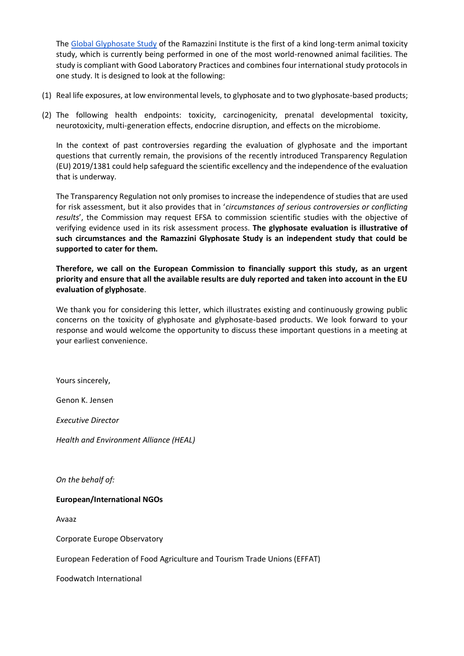The [Global Glyphosate Study](https://glyphosatestudy.org/) of the Ramazzini Institute is the first of a kind long-term animal toxicity study, which is currently being performed in one of the most world-renowned animal facilities. The study is compliant with Good Laboratory Practices and combines four international study protocols in one study. It is designed to look at the following:

- (1) Real life exposures, at low environmental levels, to glyphosate and to two glyphosate-based products;
- (2) The following health endpoints: toxicity, carcinogenicity, prenatal developmental toxicity, neurotoxicity, multi-generation effects, endocrine disruption, and effects on the microbiome.

In the context of past controversies regarding the evaluation of glyphosate and the important questions that currently remain, the provisions of the recently introduced Transparency Regulation (EU) 2019/1381 could help safeguard the scientific excellency and the independence of the evaluation that is underway.

The Transparency Regulation not only promises to increase the independence of studies that are used for risk assessment, but it also provides that in '*circumstances of serious controversies or conflicting results*', the Commission may request EFSA to commission scientific studies with the objective of verifying evidence used in its risk assessment process. **The glyphosate evaluation is illustrative of such circumstances and the Ramazzini Glyphosate Study is an independent study that could be supported to cater for them.**

**Therefore, we call on the European Commission to financially support this study, as an urgent priority and ensure that all the available results are duly reported and taken into account in the EU evaluation of glyphosate**.

We thank you for considering this letter, which illustrates existing and continuously growing public concerns on the toxicity of glyphosate and glyphosate-based products. We look forward to your response and would welcome the opportunity to discuss these important questions in a meeting at your earliest convenience.

Yours sincerely,

Genon K. Jensen

*Executive Director* 

*Health and Environment Alliance (HEAL)*

*On the behalf of:*

## **European/International NGOs**

Avaaz

Corporate Europe Observatory

European Federation of Food Agriculture and Tourism Trade Unions (EFFAT)

Foodwatch International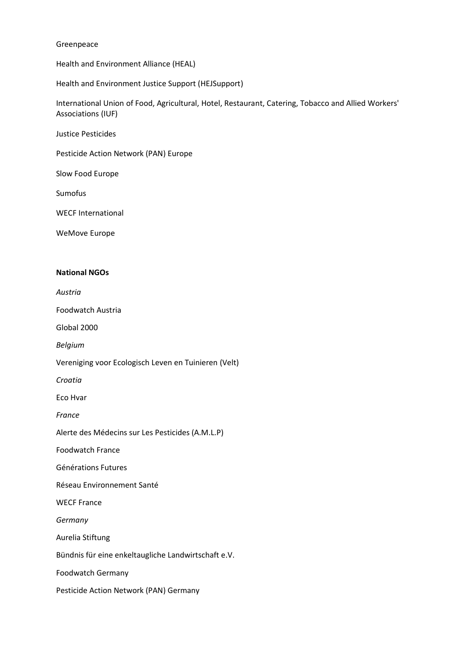#### Greenpeace

Health and Environment Alliance (HEAL)

Health and Environment Justice Support (HEJSupport)

International Union of Food, Agricultural, Hotel, Restaurant, Catering, Tobacco and Allied Workers' Associations (IUF)

Justice Pesticides

Pesticide Action Network (PAN) Europe

Slow Food Europe

Sumofus

WECF International

WeMove Europe

### **National NGOs**

*Austria* 

Foodwatch Austria

Global 2000

*Belgium*

Vereniging voor Ecologisch Leven en Tuinieren (Velt)

*Croatia*

Eco Hvar

*France*

Alerte des Médecins sur Les Pesticides (A.M.L.P)

Foodwatch France

Générations Futures

Réseau Environnement Santé

WECF France

*Germany*

Aurelia Stiftung

Bündnis für eine enkeltaugliche Landwirtschaft e.V.

Foodwatch Germany

Pesticide Action Network (PAN) Germany